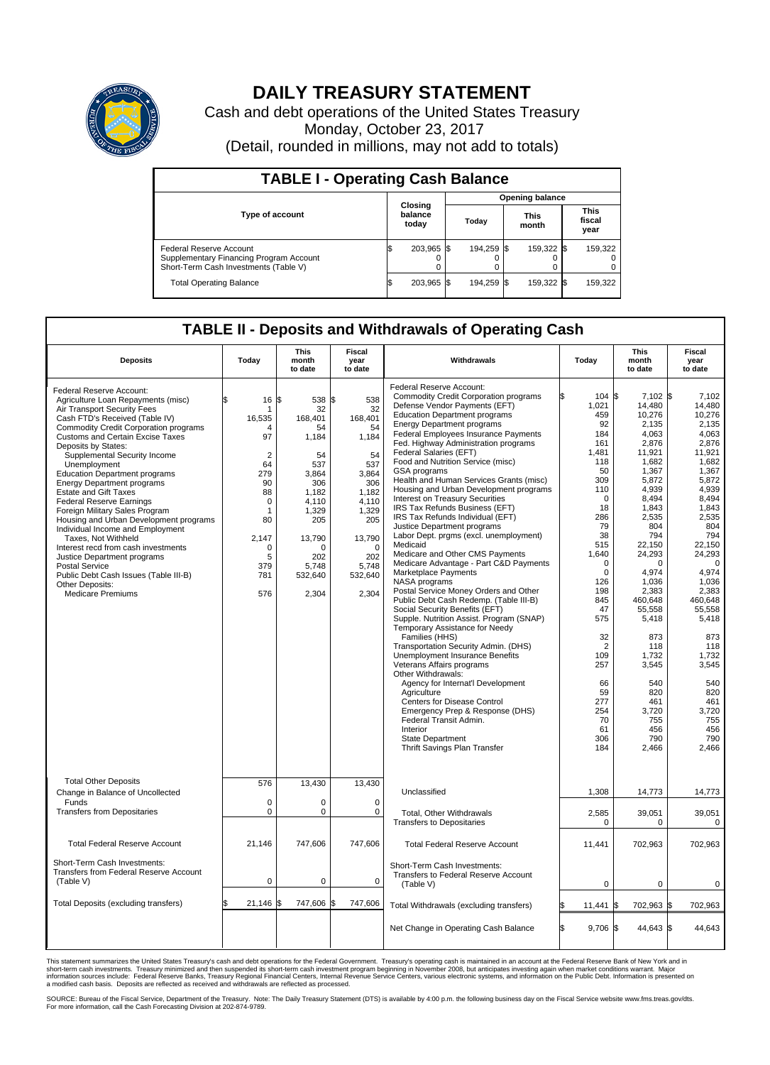

## **DAILY TREASURY STATEMENT**

Cash and debt operations of the United States Treasury Monday, October 23, 2017 (Detail, rounded in millions, may not add to totals)

| <b>TABLE I - Operating Cash Balance</b>                                                                     |  |                             |  |                        |  |                      |                               |         |  |  |  |
|-------------------------------------------------------------------------------------------------------------|--|-----------------------------|--|------------------------|--|----------------------|-------------------------------|---------|--|--|--|
|                                                                                                             |  | Closing<br>balance<br>today |  | <b>Opening balance</b> |  |                      |                               |         |  |  |  |
| <b>Type of account</b>                                                                                      |  |                             |  | Today                  |  | <b>This</b><br>month | <b>This</b><br>fiscal<br>year |         |  |  |  |
| Federal Reserve Account<br>Supplementary Financing Program Account<br>Short-Term Cash Investments (Table V) |  | 203,965 \$                  |  | 194.259 \$             |  | 159,322 \$           |                               | 159,322 |  |  |  |
| <b>Total Operating Balance</b>                                                                              |  | 203,965 \$                  |  | 194,259 \$             |  | 159,322 \$           |                               | 159,322 |  |  |  |

## **TABLE II - Deposits and Withdrawals of Operating Cash**

| <b>Deposits</b>                                                                                                                                                                                                                                                                                                                                                                                                                                                                                                                                                                                                                                                                                                                                                                 | Today                                                                                                                                                                        | <b>This</b><br>month<br>to date                                                                                                                                        | <b>Fiscal</b><br>year<br>to date                                                                                                                                | Withdrawals                                                                                                                                                                                                                                                                                                                                                                                                                                                                                                                                                                                                                                                                                                                                                                                                                                                                                                                                                                                                                                                                                                                                                                                                                                                                                                                              | Today  |                                                                                                                                                                                                                                                                                               | <b>This</b><br>month<br>to date                                                                                                                                                                                                                                                                                                       | Fiscal<br>year<br>to date                                                                                                                                                                                                                                                                                                        |
|---------------------------------------------------------------------------------------------------------------------------------------------------------------------------------------------------------------------------------------------------------------------------------------------------------------------------------------------------------------------------------------------------------------------------------------------------------------------------------------------------------------------------------------------------------------------------------------------------------------------------------------------------------------------------------------------------------------------------------------------------------------------------------|------------------------------------------------------------------------------------------------------------------------------------------------------------------------------|------------------------------------------------------------------------------------------------------------------------------------------------------------------------|-----------------------------------------------------------------------------------------------------------------------------------------------------------------|------------------------------------------------------------------------------------------------------------------------------------------------------------------------------------------------------------------------------------------------------------------------------------------------------------------------------------------------------------------------------------------------------------------------------------------------------------------------------------------------------------------------------------------------------------------------------------------------------------------------------------------------------------------------------------------------------------------------------------------------------------------------------------------------------------------------------------------------------------------------------------------------------------------------------------------------------------------------------------------------------------------------------------------------------------------------------------------------------------------------------------------------------------------------------------------------------------------------------------------------------------------------------------------------------------------------------------------|--------|-----------------------------------------------------------------------------------------------------------------------------------------------------------------------------------------------------------------------------------------------------------------------------------------------|---------------------------------------------------------------------------------------------------------------------------------------------------------------------------------------------------------------------------------------------------------------------------------------------------------------------------------------|----------------------------------------------------------------------------------------------------------------------------------------------------------------------------------------------------------------------------------------------------------------------------------------------------------------------------------|
| Federal Reserve Account:<br>Agriculture Loan Repayments (misc)<br>Air Transport Security Fees<br>Cash FTD's Received (Table IV)<br><b>Commodity Credit Corporation programs</b><br><b>Customs and Certain Excise Taxes</b><br>Deposits by States:<br>Supplemental Security Income<br>Unemployment<br><b>Education Department programs</b><br><b>Energy Department programs</b><br><b>Estate and Gift Taxes</b><br><b>Federal Reserve Earnings</b><br>Foreign Military Sales Program<br>Housing and Urban Development programs<br>Individual Income and Employment<br>Taxes, Not Withheld<br>Interest recd from cash investments<br>Justice Department programs<br><b>Postal Service</b><br>Public Debt Cash Issues (Table III-B)<br>Other Deposits:<br><b>Medicare Premiums</b> | 16<br>\$<br>16,535<br>$\overline{4}$<br>97<br>$\overline{2}$<br>64<br>279<br>90<br>88<br>$\mathbf 0$<br>$\mathbf{1}$<br>80<br>2,147<br>$\mathbf 0$<br>5<br>379<br>781<br>576 | l\$<br>538 \$<br>32<br>168,401<br>54<br>1,184<br>54<br>537<br>3,864<br>306<br>1,182<br>4.110<br>1,329<br>205<br>13,790<br>$\Omega$<br>202<br>5,748<br>532,640<br>2,304 | 538<br>32<br>168,401<br>54<br>1,184<br>54<br>537<br>3,864<br>306<br>1,182<br>4.110<br>1,329<br>205<br>13,790<br>$\mathbf 0$<br>202<br>5,748<br>532,640<br>2,304 | Federal Reserve Account:<br><b>Commodity Credit Corporation programs</b><br>Defense Vendor Payments (EFT)<br><b>Education Department programs</b><br><b>Energy Department programs</b><br>Federal Employees Insurance Payments<br>Fed. Highway Administration programs<br>Federal Salaries (EFT)<br>Food and Nutrition Service (misc)<br>GSA programs<br>Health and Human Services Grants (misc)<br>Housing and Urban Development programs<br>Interest on Treasury Securities<br>IRS Tax Refunds Business (EFT)<br>IRS Tax Refunds Individual (EFT)<br>Justice Department programs<br>Labor Dept. prgms (excl. unemployment)<br>Medicaid<br>Medicare and Other CMS Payments<br>Medicare Advantage - Part C&D Payments<br>Marketplace Payments<br>NASA programs<br>Postal Service Money Orders and Other<br>Public Debt Cash Redemp. (Table III-B)<br>Social Security Benefits (EFT)<br>Supple. Nutrition Assist. Program (SNAP)<br>Temporary Assistance for Needy<br>Families (HHS)<br>Transportation Security Admin. (DHS)<br>Unemployment Insurance Benefits<br>Veterans Affairs programs<br>Other Withdrawals:<br>Agency for Internat'l Development<br>Agriculture<br><b>Centers for Disease Control</b><br>Emergency Prep & Response (DHS)<br>Federal Transit Admin.<br>Interior<br>State Department<br>Thrift Savings Plan Transfer |        | 104 \$<br>1,021<br>459<br>92<br>184<br>161<br>1.481<br>118<br>50<br>309<br>110<br>$\Omega$<br>18<br>286<br>79<br>38<br>515<br>1,640<br>$\mathbf 0$<br>$\mathbf 0$<br>126<br>198<br>845<br>47<br>575<br>32<br>$\overline{2}$<br>109<br>257<br>66<br>59<br>277<br>254<br>70<br>61<br>306<br>184 | $7,102$ \$<br>14,480<br>10,276<br>2.135<br>4,063<br>2,876<br>11,921<br>1.682<br>1,367<br>5,872<br>4.939<br>8,494<br>1,843<br>2,535<br>804<br>794<br>22,150<br>24,293<br>$\Omega$<br>4.974<br>1,036<br>2,383<br>460,648<br>55.558<br>5,418<br>873<br>118<br>1,732<br>3,545<br>540<br>820<br>461<br>3,720<br>755<br>456<br>790<br>2,466 | 7,102<br>14,480<br>10.276<br>2.135<br>4,063<br>2,876<br>11.921<br>1.682<br>1,367<br>5,872<br>4.939<br>8,494<br>1,843<br>2,535<br>804<br>794<br>22,150<br>24,293<br>$\Omega$<br>4.974<br>1,036<br>2,383<br>460.648<br>55,558<br>5,418<br>873<br>118<br>1,732<br>3,545<br>540<br>820<br>461<br>3,720<br>755<br>456<br>790<br>2,466 |
| <b>Total Other Deposits</b><br>Change in Balance of Uncollected<br>Funds<br><b>Transfers from Depositaries</b>                                                                                                                                                                                                                                                                                                                                                                                                                                                                                                                                                                                                                                                                  | 576<br>$\mathbf 0$<br>$\pmb{0}$                                                                                                                                              | 13,430<br>$\Omega$<br>0                                                                                                                                                | 13,430<br>$\mathbf 0$<br>$\mathbf 0$                                                                                                                            | Unclassified<br>Total, Other Withdrawals<br><b>Transfers to Depositaries</b>                                                                                                                                                                                                                                                                                                                                                                                                                                                                                                                                                                                                                                                                                                                                                                                                                                                                                                                                                                                                                                                                                                                                                                                                                                                             |        | 1,308<br>2,585<br>$\Omega$                                                                                                                                                                                                                                                                    | 14,773<br>39,051<br>$\Omega$                                                                                                                                                                                                                                                                                                          | 14,773<br>39,051<br>$\mathbf 0$                                                                                                                                                                                                                                                                                                  |
| <b>Total Federal Reserve Account</b>                                                                                                                                                                                                                                                                                                                                                                                                                                                                                                                                                                                                                                                                                                                                            | 21,146                                                                                                                                                                       | 747,606                                                                                                                                                                | 747,606                                                                                                                                                         | <b>Total Federal Reserve Account</b>                                                                                                                                                                                                                                                                                                                                                                                                                                                                                                                                                                                                                                                                                                                                                                                                                                                                                                                                                                                                                                                                                                                                                                                                                                                                                                     | 11,441 |                                                                                                                                                                                                                                                                                               | 702,963                                                                                                                                                                                                                                                                                                                               | 702,963                                                                                                                                                                                                                                                                                                                          |
| Short-Term Cash Investments:<br>Transfers from Federal Reserve Account<br>(Table V)                                                                                                                                                                                                                                                                                                                                                                                                                                                                                                                                                                                                                                                                                             | $\pmb{0}$                                                                                                                                                                    | 0                                                                                                                                                                      | $\mathbf 0$                                                                                                                                                     | Short-Term Cash Investments:<br>Transfers to Federal Reserve Account<br>(Table V)                                                                                                                                                                                                                                                                                                                                                                                                                                                                                                                                                                                                                                                                                                                                                                                                                                                                                                                                                                                                                                                                                                                                                                                                                                                        |        | 0                                                                                                                                                                                                                                                                                             | $\mathbf 0$                                                                                                                                                                                                                                                                                                                           | 0                                                                                                                                                                                                                                                                                                                                |
| Total Deposits (excluding transfers)                                                                                                                                                                                                                                                                                                                                                                                                                                                                                                                                                                                                                                                                                                                                            | 21,146                                                                                                                                                                       | 747,606                                                                                                                                                                | 747,606<br>\$                                                                                                                                                   | Total Withdrawals (excluding transfers)                                                                                                                                                                                                                                                                                                                                                                                                                                                                                                                                                                                                                                                                                                                                                                                                                                                                                                                                                                                                                                                                                                                                                                                                                                                                                                  | 11,441 |                                                                                                                                                                                                                                                                                               | 702,963 \$<br>l\$                                                                                                                                                                                                                                                                                                                     | 702,963                                                                                                                                                                                                                                                                                                                          |
|                                                                                                                                                                                                                                                                                                                                                                                                                                                                                                                                                                                                                                                                                                                                                                                 |                                                                                                                                                                              |                                                                                                                                                                        |                                                                                                                                                                 | Net Change in Operating Cash Balance                                                                                                                                                                                                                                                                                                                                                                                                                                                                                                                                                                                                                                                                                                                                                                                                                                                                                                                                                                                                                                                                                                                                                                                                                                                                                                     | Ŝ.     | $9.706$ \$                                                                                                                                                                                                                                                                                    | 44,643 \$                                                                                                                                                                                                                                                                                                                             | 44,643                                                                                                                                                                                                                                                                                                                           |

This statement summarizes the United States Treasury's cash and debt operations for the Federal Government. Treasury's operating cash is maintained in an account at the Federal Reserve Bank of New York and in<br>short-term ca

SOURCE: Bureau of the Fiscal Service, Department of the Treasury. Note: The Daily Treasury Statement (DTS) is available by 4:00 p.m. the following business day on the Fiscal Service website www.fms.treas.gov/dts.<br>For more